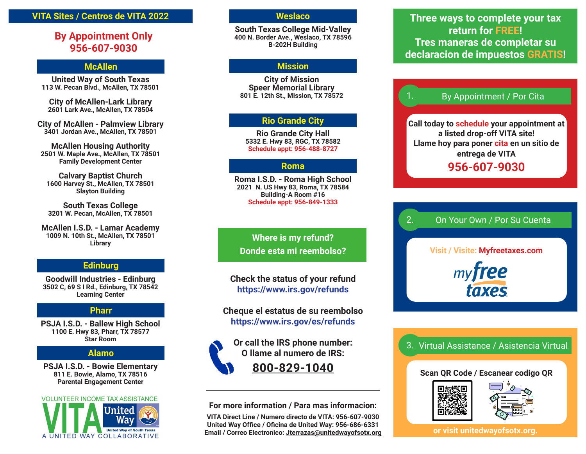#### **VITA Sites / Centros de VITA 2022**

### **By Appointment Only 956-607-9030**

#### **McAllen**

**United Way of South Texas 113 W. Pecan Blvd., McAllen, TX 78501**

**City of McAllen-Lark Library 2601 Lark Ave., McAllen, TX 78504**

**City of McAllen - Palmview Library 3401 Jordan Ave., McAllen, TX 78501**

**McAllen Housing Authority 2501 W. Maple Ave., McAllen, TX 78501 Family Development Center**

**Calvary Baptist Church 1600 Harvey St., McAllen, TX 78501 Slayton Building**

**South Texas College 3201 W. Pecan, McAllen, TX 78501**

**McAllen I.S.D. - Lamar Academy 1009 N. 10th St., McAllen, TX 78501 Library**

#### **Edinburg**

**Goodwill Industries - Edinburg 3502 C, 69 S I Rd., Edinburg, TX 78542 Learning Center**

#### **Pharr**

**PSJA I.S.D. - Ballew High School 1100 E. Hwy 83, Pharr, TX 78577 Star Room**

#### **Alamo**

**PSJA I.S.D. - Bowie Elementary 811 E. Bowie, Alamo, TX 78516 Parental Engagement Center**



#### **Weslaco**

**South Texas College Mid-Valley 400 N. Border Ave., Weslaco, TX 78596 B-202H Building**

#### **Mission**

**City of Mission Speer Memorial Library 801 E. 12th St., Mission, TX 78572**

#### **Rio Grande City**

**Rio Grande City Hall 5332 E. Hwy 83, RGC, TX 78582 Schedule appt: 956-488-8727**

#### **Roma**

**Roma I.S.D. - Roma High School 2021 N. US Hwy 83, Roma, TX 78584 Building-A Room #16 Schedule appt: 956-849-1333**

**Where is my refund? Donde esta mi reembolso?**

**Check the status of your refund https://www.irs.gov/refunds**

**Cheque el estatus de su reembolso https://www.irs.gov/es/refunds**

**Or call the IRS phone number: O llame al numero de IRS: 800-829-1040**

**For more information / Para mas informacion:**

**VITA Direct Line / Numero directo de VITA: 956-607-9030 United Way Office / Oficina de United Way: 956-686-6331 Email / Correo Electronico: Jterrazas@unitedwayofsotx.org**

**Three ways to complete your tax return for FREE! Tres maneras de completar su declaracion de impuestos GRATIS!**

#### By Appointment / Por Cita

**Call today to schedule your appointment at a listed drop-off VITA site! Llame hoy para poner cita en un sitio de entrega de VITA 956-607-9030**

#### On Your Own / Por Su Cuenta 2.

**Visit / Visite: Myfreetaxes.com** myfree taxes

3. Virtual Assistance / Asistencia Virtual

#### **Scan QR Code / Escanear codigo QR**



**or visit unitedwayofsotx.org.**